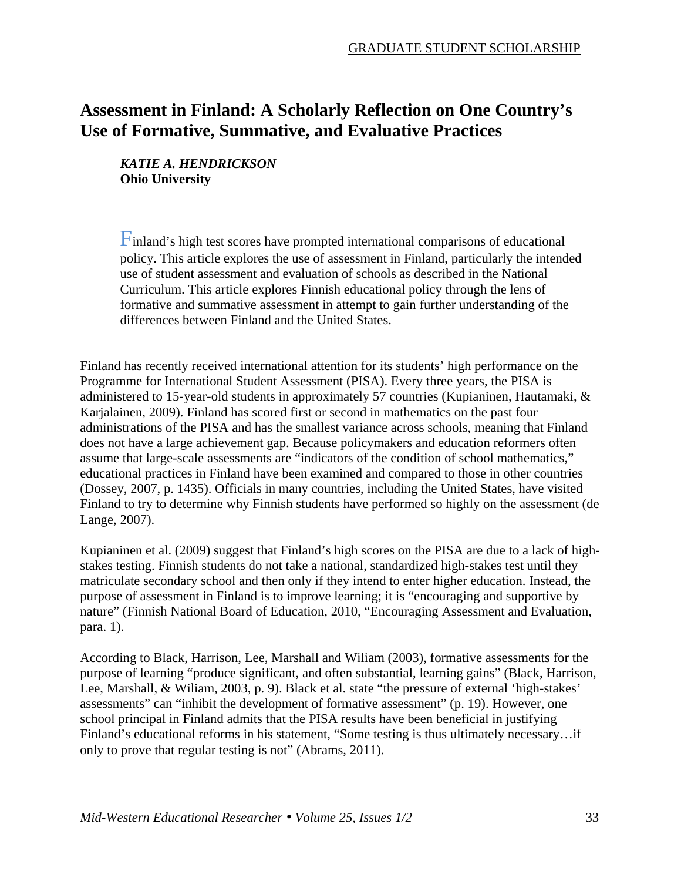# **Assessment in Finland: A Scholarly Reflection on One Country's Use of Formative, Summative, and Evaluative Practices**

*KATIE A. HENDRICKSON*  **Ohio University** 

Finland's high test scores have prompted international comparisons of educational policy. This article explores the use of assessment in Finland, particularly the intended use of student assessment and evaluation of schools as described in the National Curriculum. This article explores Finnish educational policy through the lens of formative and summative assessment in attempt to gain further understanding of the differences between Finland and the United States.

Finland has recently received international attention for its students' high performance on the Programme for International Student Assessment (PISA). Every three years, the PISA is administered to 15-year-old students in approximately 57 countries (Kupianinen, Hautamaki, & Karjalainen, 2009). Finland has scored first or second in mathematics on the past four administrations of the PISA and has the smallest variance across schools, meaning that Finland does not have a large achievement gap. Because policymakers and education reformers often assume that large-scale assessments are "indicators of the condition of school mathematics," educational practices in Finland have been examined and compared to those in other countries (Dossey, 2007, p. 1435). Officials in many countries, including the United States, have visited Finland to try to determine why Finnish students have performed so highly on the assessment (de Lange, 2007).

Kupianinen et al. (2009) suggest that Finland's high scores on the PISA are due to a lack of highstakes testing. Finnish students do not take a national, standardized high-stakes test until they matriculate secondary school and then only if they intend to enter higher education. Instead, the purpose of assessment in Finland is to improve learning; it is "encouraging and supportive by nature" (Finnish National Board of Education, 2010, "Encouraging Assessment and Evaluation, para. 1).

According to Black, Harrison, Lee, Marshall and Wiliam (2003), formative assessments for the purpose of learning "produce significant, and often substantial, learning gains" (Black, Harrison, Lee, Marshall, & Wiliam, 2003, p. 9). Black et al. state "the pressure of external 'high-stakes' assessments" can "inhibit the development of formative assessment" (p. 19). However, one school principal in Finland admits that the PISA results have been beneficial in justifying Finland's educational reforms in his statement, "Some testing is thus ultimately necessary…if only to prove that regular testing is not" (Abrams, 2011).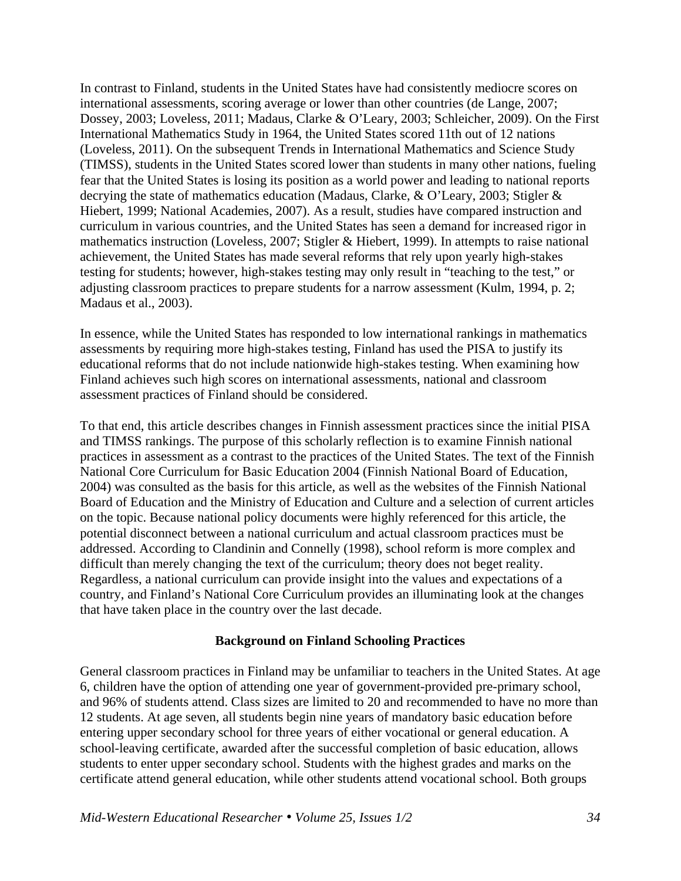In contrast to Finland, students in the United States have had consistently mediocre scores on international assessments, scoring average or lower than other countries (de Lange, 2007; Dossey, 2003; Loveless, 2011; Madaus, Clarke & O'Leary, 2003; Schleicher, 2009). On the First International Mathematics Study in 1964, the United States scored 11th out of 12 nations (Loveless, 2011). On the subsequent Trends in International Mathematics and Science Study (TIMSS), students in the United States scored lower than students in many other nations, fueling fear that the United States is losing its position as a world power and leading to national reports decrying the state of mathematics education (Madaus, Clarke, & O'Leary, 2003; Stigler & Hiebert, 1999; National Academies, 2007). As a result, studies have compared instruction and curriculum in various countries, and the United States has seen a demand for increased rigor in mathematics instruction (Loveless, 2007; Stigler & Hiebert, 1999). In attempts to raise national achievement, the United States has made several reforms that rely upon yearly high-stakes testing for students; however, high-stakes testing may only result in "teaching to the test," or adjusting classroom practices to prepare students for a narrow assessment (Kulm, 1994, p. 2; Madaus et al., 2003).

In essence, while the United States has responded to low international rankings in mathematics assessments by requiring more high-stakes testing, Finland has used the PISA to justify its educational reforms that do not include nationwide high-stakes testing. When examining how Finland achieves such high scores on international assessments, national and classroom assessment practices of Finland should be considered.

To that end, this article describes changes in Finnish assessment practices since the initial PISA and TIMSS rankings. The purpose of this scholarly reflection is to examine Finnish national practices in assessment as a contrast to the practices of the United States. The text of the Finnish National Core Curriculum for Basic Education 2004 (Finnish National Board of Education, 2004) was consulted as the basis for this article, as well as the websites of the Finnish National Board of Education and the Ministry of Education and Culture and a selection of current articles on the topic. Because national policy documents were highly referenced for this article, the potential disconnect between a national curriculum and actual classroom practices must be addressed. According to Clandinin and Connelly (1998), school reform is more complex and difficult than merely changing the text of the curriculum; theory does not beget reality. Regardless, a national curriculum can provide insight into the values and expectations of a country, and Finland's National Core Curriculum provides an illuminating look at the changes that have taken place in the country over the last decade.

## **Background on Finland Schooling Practices**

General classroom practices in Finland may be unfamiliar to teachers in the United States. At age 6, children have the option of attending one year of government-provided pre-primary school, and 96% of students attend. Class sizes are limited to 20 and recommended to have no more than 12 students. At age seven, all students begin nine years of mandatory basic education before entering upper secondary school for three years of either vocational or general education. A school-leaving certificate, awarded after the successful completion of basic education, allows students to enter upper secondary school. Students with the highest grades and marks on the certificate attend general education, while other students attend vocational school. Both groups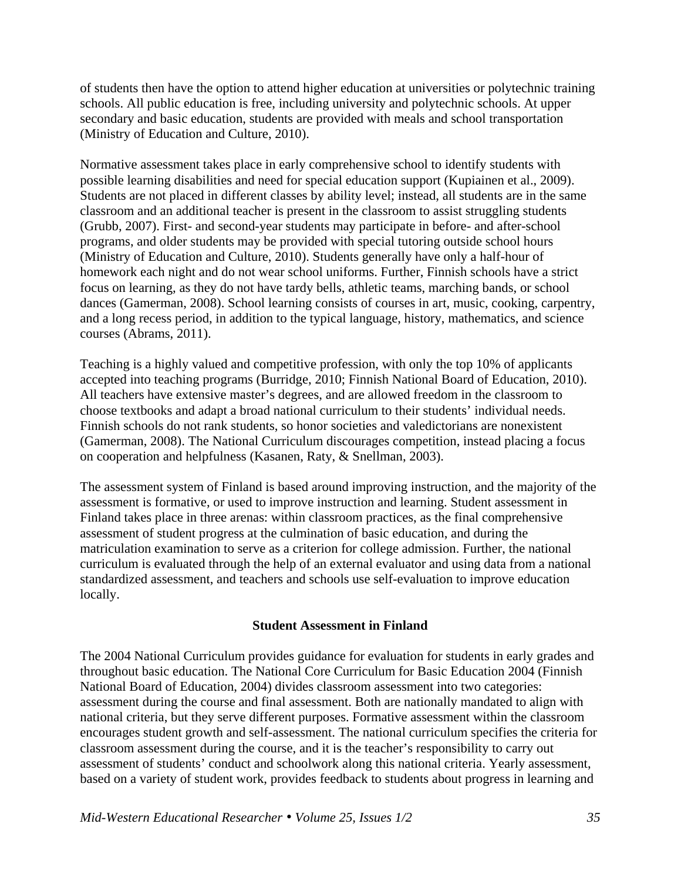of students then have the option to attend higher education at universities or polytechnic training schools. All public education is free, including university and polytechnic schools. At upper secondary and basic education, students are provided with meals and school transportation (Ministry of Education and Culture, 2010).

Normative assessment takes place in early comprehensive school to identify students with possible learning disabilities and need for special education support (Kupiainen et al., 2009). Students are not placed in different classes by ability level; instead, all students are in the same classroom and an additional teacher is present in the classroom to assist struggling students (Grubb, 2007). First- and second-year students may participate in before- and after-school programs, and older students may be provided with special tutoring outside school hours (Ministry of Education and Culture, 2010). Students generally have only a half-hour of homework each night and do not wear school uniforms. Further, Finnish schools have a strict focus on learning, as they do not have tardy bells, athletic teams, marching bands, or school dances (Gamerman, 2008). School learning consists of courses in art, music, cooking, carpentry, and a long recess period, in addition to the typical language, history, mathematics, and science courses (Abrams, 2011).

Teaching is a highly valued and competitive profession, with only the top 10% of applicants accepted into teaching programs (Burridge, 2010; Finnish National Board of Education, 2010). All teachers have extensive master's degrees, and are allowed freedom in the classroom to choose textbooks and adapt a broad national curriculum to their students' individual needs. Finnish schools do not rank students, so honor societies and valedictorians are nonexistent (Gamerman, 2008). The National Curriculum discourages competition, instead placing a focus on cooperation and helpfulness (Kasanen, Raty, & Snellman, 2003).

The assessment system of Finland is based around improving instruction, and the majority of the assessment is formative, or used to improve instruction and learning. Student assessment in Finland takes place in three arenas: within classroom practices, as the final comprehensive assessment of student progress at the culmination of basic education, and during the matriculation examination to serve as a criterion for college admission. Further, the national curriculum is evaluated through the help of an external evaluator and using data from a national standardized assessment, and teachers and schools use self-evaluation to improve education locally.

## **Student Assessment in Finland**

The 2004 National Curriculum provides guidance for evaluation for students in early grades and throughout basic education. The National Core Curriculum for Basic Education 2004 (Finnish National Board of Education, 2004) divides classroom assessment into two categories: assessment during the course and final assessment. Both are nationally mandated to align with national criteria, but they serve different purposes. Formative assessment within the classroom encourages student growth and self-assessment. The national curriculum specifies the criteria for classroom assessment during the course, and it is the teacher's responsibility to carry out assessment of students' conduct and schoolwork along this national criteria. Yearly assessment, based on a variety of student work, provides feedback to students about progress in learning and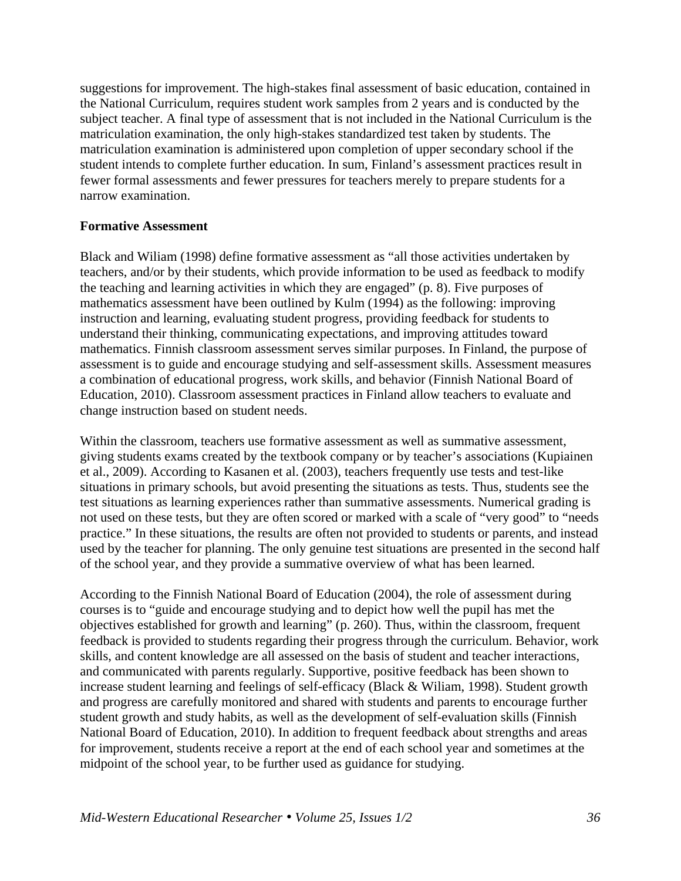suggestions for improvement. The high-stakes final assessment of basic education, contained in the National Curriculum, requires student work samples from 2 years and is conducted by the subject teacher. A final type of assessment that is not included in the National Curriculum is the matriculation examination, the only high-stakes standardized test taken by students. The matriculation examination is administered upon completion of upper secondary school if the student intends to complete further education. In sum, Finland's assessment practices result in fewer formal assessments and fewer pressures for teachers merely to prepare students for a narrow examination.

### **Formative Assessment**

Black and Wiliam (1998) define formative assessment as "all those activities undertaken by teachers, and/or by their students, which provide information to be used as feedback to modify the teaching and learning activities in which they are engaged" (p. 8). Five purposes of mathematics assessment have been outlined by Kulm (1994) as the following: improving instruction and learning, evaluating student progress, providing feedback for students to understand their thinking, communicating expectations, and improving attitudes toward mathematics. Finnish classroom assessment serves similar purposes. In Finland, the purpose of assessment is to guide and encourage studying and self-assessment skills. Assessment measures a combination of educational progress, work skills, and behavior (Finnish National Board of Education, 2010). Classroom assessment practices in Finland allow teachers to evaluate and change instruction based on student needs.

Within the classroom, teachers use formative assessment as well as summative assessment, giving students exams created by the textbook company or by teacher's associations (Kupiainen et al., 2009). According to Kasanen et al. (2003), teachers frequently use tests and test-like situations in primary schools, but avoid presenting the situations as tests. Thus, students see the test situations as learning experiences rather than summative assessments. Numerical grading is not used on these tests, but they are often scored or marked with a scale of "very good" to "needs practice." In these situations, the results are often not provided to students or parents, and instead used by the teacher for planning. The only genuine test situations are presented in the second half of the school year, and they provide a summative overview of what has been learned.

According to the Finnish National Board of Education (2004), the role of assessment during courses is to "guide and encourage studying and to depict how well the pupil has met the objectives established for growth and learning" (p. 260). Thus, within the classroom, frequent feedback is provided to students regarding their progress through the curriculum. Behavior, work skills, and content knowledge are all assessed on the basis of student and teacher interactions, and communicated with parents regularly. Supportive, positive feedback has been shown to increase student learning and feelings of self-efficacy (Black & Wiliam, 1998). Student growth and progress are carefully monitored and shared with students and parents to encourage further student growth and study habits, as well as the development of self-evaluation skills (Finnish National Board of Education, 2010). In addition to frequent feedback about strengths and areas for improvement, students receive a report at the end of each school year and sometimes at the midpoint of the school year, to be further used as guidance for studying.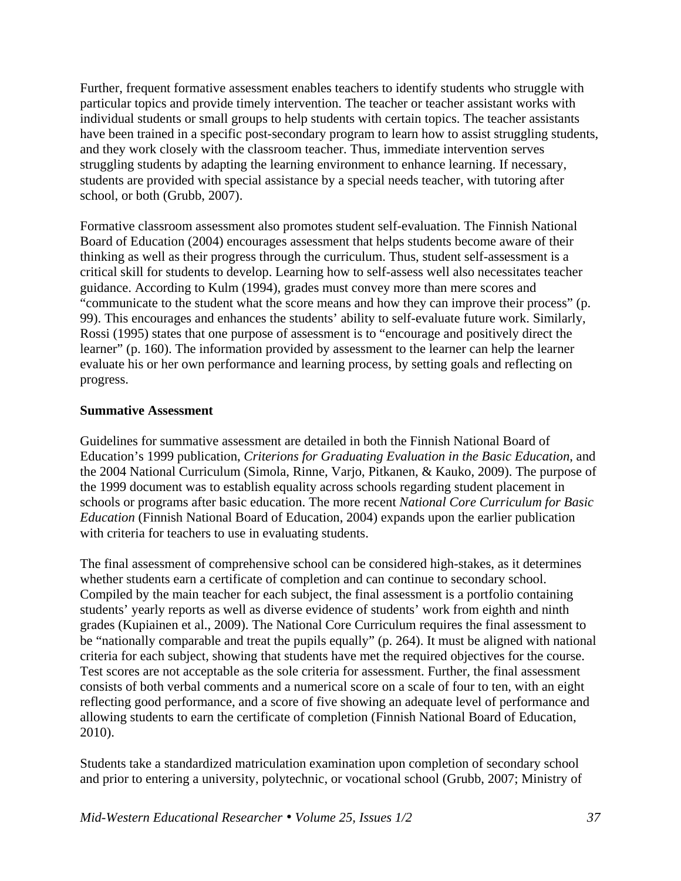Further, frequent formative assessment enables teachers to identify students who struggle with particular topics and provide timely intervention. The teacher or teacher assistant works with individual students or small groups to help students with certain topics. The teacher assistants have been trained in a specific post-secondary program to learn how to assist struggling students, and they work closely with the classroom teacher. Thus, immediate intervention serves struggling students by adapting the learning environment to enhance learning. If necessary, students are provided with special assistance by a special needs teacher, with tutoring after school, or both (Grubb, 2007).

Formative classroom assessment also promotes student self-evaluation. The Finnish National Board of Education (2004) encourages assessment that helps students become aware of their thinking as well as their progress through the curriculum. Thus, student self-assessment is a critical skill for students to develop. Learning how to self-assess well also necessitates teacher guidance. According to Kulm (1994), grades must convey more than mere scores and "communicate to the student what the score means and how they can improve their process" (p. 99). This encourages and enhances the students' ability to self-evaluate future work. Similarly, Rossi (1995) states that one purpose of assessment is to "encourage and positively direct the learner" (p. 160). The information provided by assessment to the learner can help the learner evaluate his or her own performance and learning process, by setting goals and reflecting on progress.

# **Summative Assessment**

Guidelines for summative assessment are detailed in both the Finnish National Board of Education's 1999 publication, *Criterions for Graduating Evaluation in the Basic Education*, and the 2004 National Curriculum (Simola, Rinne, Varjo, Pitkanen, & Kauko, 2009). The purpose of the 1999 document was to establish equality across schools regarding student placement in schools or programs after basic education. The more recent *National Core Curriculum for Basic Education* (Finnish National Board of Education, 2004) expands upon the earlier publication with criteria for teachers to use in evaluating students.

The final assessment of comprehensive school can be considered high-stakes, as it determines whether students earn a certificate of completion and can continue to secondary school. Compiled by the main teacher for each subject, the final assessment is a portfolio containing students' yearly reports as well as diverse evidence of students' work from eighth and ninth grades (Kupiainen et al., 2009). The National Core Curriculum requires the final assessment to be "nationally comparable and treat the pupils equally" (p. 264). It must be aligned with national criteria for each subject, showing that students have met the required objectives for the course. Test scores are not acceptable as the sole criteria for assessment. Further, the final assessment consists of both verbal comments and a numerical score on a scale of four to ten, with an eight reflecting good performance, and a score of five showing an adequate level of performance and allowing students to earn the certificate of completion (Finnish National Board of Education, 2010).

Students take a standardized matriculation examination upon completion of secondary school and prior to entering a university, polytechnic, or vocational school (Grubb, 2007; Ministry of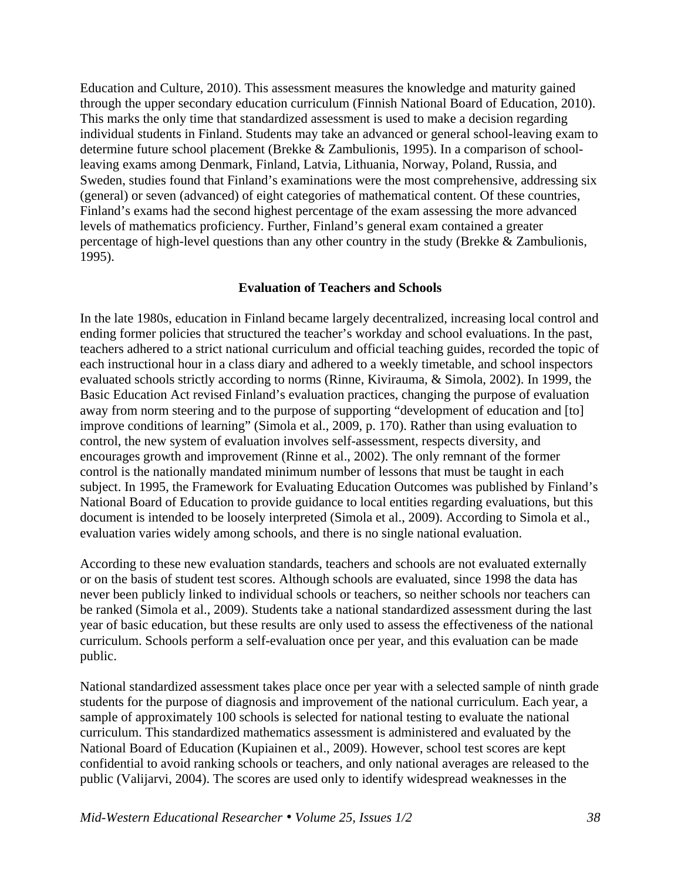Education and Culture, 2010). This assessment measures the knowledge and maturity gained through the upper secondary education curriculum (Finnish National Board of Education, 2010). This marks the only time that standardized assessment is used to make a decision regarding individual students in Finland. Students may take an advanced or general school-leaving exam to determine future school placement (Brekke & Zambulionis, 1995). In a comparison of schoolleaving exams among Denmark, Finland, Latvia, Lithuania, Norway, Poland, Russia, and Sweden, studies found that Finland's examinations were the most comprehensive, addressing six (general) or seven (advanced) of eight categories of mathematical content. Of these countries, Finland's exams had the second highest percentage of the exam assessing the more advanced levels of mathematics proficiency. Further, Finland's general exam contained a greater percentage of high-level questions than any other country in the study (Brekke & Zambulionis, 1995).

## **Evaluation of Teachers and Schools**

In the late 1980s, education in Finland became largely decentralized, increasing local control and ending former policies that structured the teacher's workday and school evaluations. In the past, teachers adhered to a strict national curriculum and official teaching guides, recorded the topic of each instructional hour in a class diary and adhered to a weekly timetable, and school inspectors evaluated schools strictly according to norms (Rinne, Kivirauma, & Simola, 2002). In 1999, the Basic Education Act revised Finland's evaluation practices, changing the purpose of evaluation away from norm steering and to the purpose of supporting "development of education and [to] improve conditions of learning" (Simola et al., 2009, p. 170). Rather than using evaluation to control, the new system of evaluation involves self-assessment, respects diversity, and encourages growth and improvement (Rinne et al., 2002). The only remnant of the former control is the nationally mandated minimum number of lessons that must be taught in each subject. In 1995, the Framework for Evaluating Education Outcomes was published by Finland's National Board of Education to provide guidance to local entities regarding evaluations, but this document is intended to be loosely interpreted (Simola et al., 2009). According to Simola et al., evaluation varies widely among schools, and there is no single national evaluation.

According to these new evaluation standards, teachers and schools are not evaluated externally or on the basis of student test scores. Although schools are evaluated, since 1998 the data has never been publicly linked to individual schools or teachers, so neither schools nor teachers can be ranked (Simola et al., 2009). Students take a national standardized assessment during the last year of basic education, but these results are only used to assess the effectiveness of the national curriculum. Schools perform a self-evaluation once per year, and this evaluation can be made public.

National standardized assessment takes place once per year with a selected sample of ninth grade students for the purpose of diagnosis and improvement of the national curriculum. Each year, a sample of approximately 100 schools is selected for national testing to evaluate the national curriculum. This standardized mathematics assessment is administered and evaluated by the National Board of Education (Kupiainen et al., 2009). However, school test scores are kept confidential to avoid ranking schools or teachers, and only national averages are released to the public (Valijarvi, 2004). The scores are used only to identify widespread weaknesses in the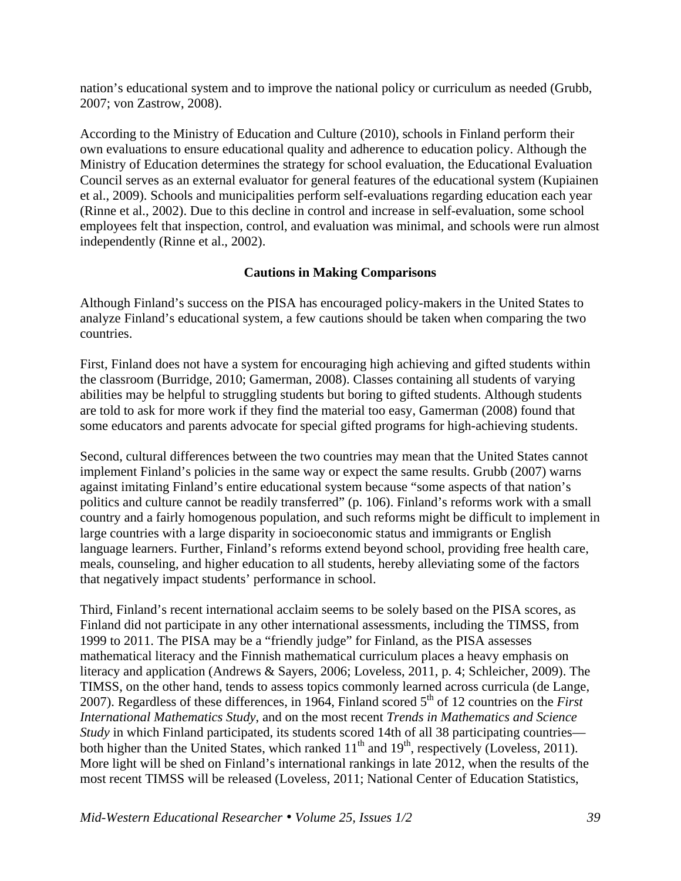nation's educational system and to improve the national policy or curriculum as needed (Grubb, 2007; von Zastrow, 2008).

According to the Ministry of Education and Culture (2010), schools in Finland perform their own evaluations to ensure educational quality and adherence to education policy. Although the Ministry of Education determines the strategy for school evaluation, the Educational Evaluation Council serves as an external evaluator for general features of the educational system (Kupiainen et al., 2009). Schools and municipalities perform self-evaluations regarding education each year (Rinne et al., 2002). Due to this decline in control and increase in self-evaluation, some school employees felt that inspection, control, and evaluation was minimal, and schools were run almost independently (Rinne et al., 2002).

# **Cautions in Making Comparisons**

Although Finland's success on the PISA has encouraged policy-makers in the United States to analyze Finland's educational system, a few cautions should be taken when comparing the two countries.

First, Finland does not have a system for encouraging high achieving and gifted students within the classroom (Burridge, 2010; Gamerman, 2008). Classes containing all students of varying abilities may be helpful to struggling students but boring to gifted students. Although students are told to ask for more work if they find the material too easy, Gamerman (2008) found that some educators and parents advocate for special gifted programs for high-achieving students.

Second, cultural differences between the two countries may mean that the United States cannot implement Finland's policies in the same way or expect the same results. Grubb (2007) warns against imitating Finland's entire educational system because "some aspects of that nation's politics and culture cannot be readily transferred" (p. 106). Finland's reforms work with a small country and a fairly homogenous population, and such reforms might be difficult to implement in large countries with a large disparity in socioeconomic status and immigrants or English language learners. Further, Finland's reforms extend beyond school, providing free health care, meals, counseling, and higher education to all students, hereby alleviating some of the factors that negatively impact students' performance in school.

Third, Finland's recent international acclaim seems to be solely based on the PISA scores, as Finland did not participate in any other international assessments, including the TIMSS, from 1999 to 2011. The PISA may be a "friendly judge" for Finland, as the PISA assesses mathematical literacy and the Finnish mathematical curriculum places a heavy emphasis on literacy and application (Andrews & Sayers, 2006; Loveless, 2011, p. 4; Schleicher, 2009). The TIMSS, on the other hand, tends to assess topics commonly learned across curricula (de Lange, 2007). Regardless of these differences, in 1964, Finland scored 5<sup>th</sup> of 12 countries on the *First International Mathematics Study*, and on the most recent *Trends in Mathematics and Science Study* in which Finland participated, its students scored 14th of all 38 participating countries both higher than the United States, which ranked  $11<sup>th</sup>$  and  $19<sup>th</sup>$ , respectively (Loveless, 2011). More light will be shed on Finland's international rankings in late 2012, when the results of the most recent TIMSS will be released (Loveless, 2011; National Center of Education Statistics,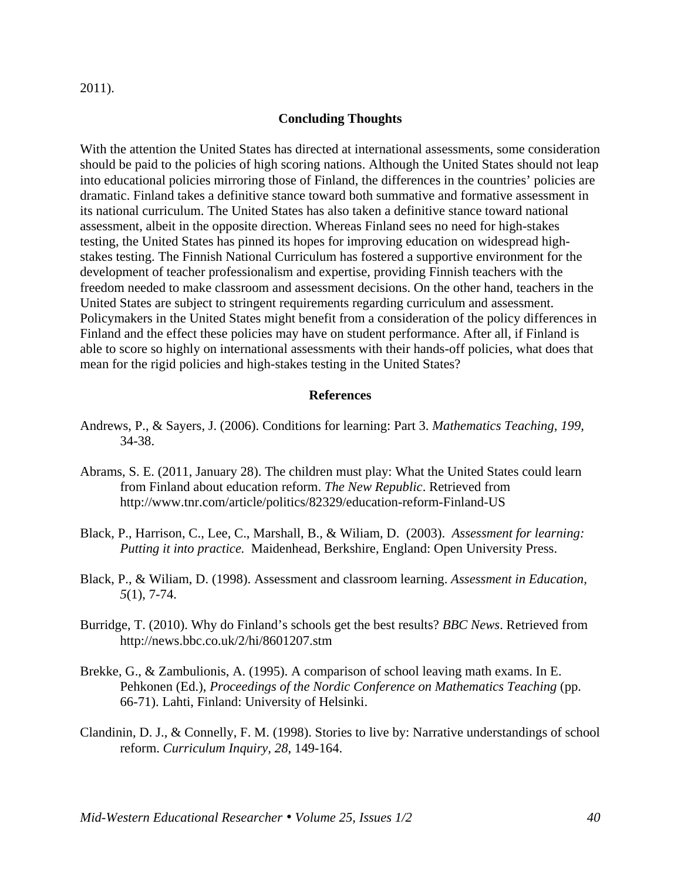2011).

### **Concluding Thoughts**

With the attention the United States has directed at international assessments, some consideration should be paid to the policies of high scoring nations. Although the United States should not leap into educational policies mirroring those of Finland, the differences in the countries' policies are dramatic. Finland takes a definitive stance toward both summative and formative assessment in its national curriculum. The United States has also taken a definitive stance toward national assessment, albeit in the opposite direction. Whereas Finland sees no need for high-stakes testing, the United States has pinned its hopes for improving education on widespread highstakes testing. The Finnish National Curriculum has fostered a supportive environment for the development of teacher professionalism and expertise, providing Finnish teachers with the freedom needed to make classroom and assessment decisions. On the other hand, teachers in the United States are subject to stringent requirements regarding curriculum and assessment. Policymakers in the United States might benefit from a consideration of the policy differences in Finland and the effect these policies may have on student performance. After all, if Finland is able to score so highly on international assessments with their hands-off policies, what does that mean for the rigid policies and high-stakes testing in the United States?

#### **References**

- Andrews, P., & Sayers, J. (2006). Conditions for learning: Part 3. *Mathematics Teaching, 199,* 34-38.
- Abrams, S. E. (2011, January 28). The children must play: What the United States could learn from Finland about education reform. *The New Republic*. Retrieved from http://www.tnr.com/article/politics/82329/education-reform-Finland-US
- Black, P., Harrison, C., Lee, C., Marshall, B., & Wiliam, D. (2003). *Assessment for learning: Putting it into practice.* Maidenhead, Berkshire, England: Open University Press.
- Black, P., & Wiliam, D. (1998). Assessment and classroom learning. *Assessment in Education, 5*(1), 7-74.
- Burridge, T. (2010). Why do Finland's schools get the best results? *BBC News*. Retrieved from http://news.bbc.co.uk/2/hi/8601207.stm
- Brekke, G., & Zambulionis, A. (1995). A comparison of school leaving math exams. In E. Pehkonen (Ed.), *Proceedings of the Nordic Conference on Mathematics Teaching* (pp. 66-71). Lahti, Finland: University of Helsinki.
- Clandinin, D. J., & Connelly, F. M. (1998). Stories to live by: Narrative understandings of school reform. *Curriculum Inquiry, 28*, 149-164.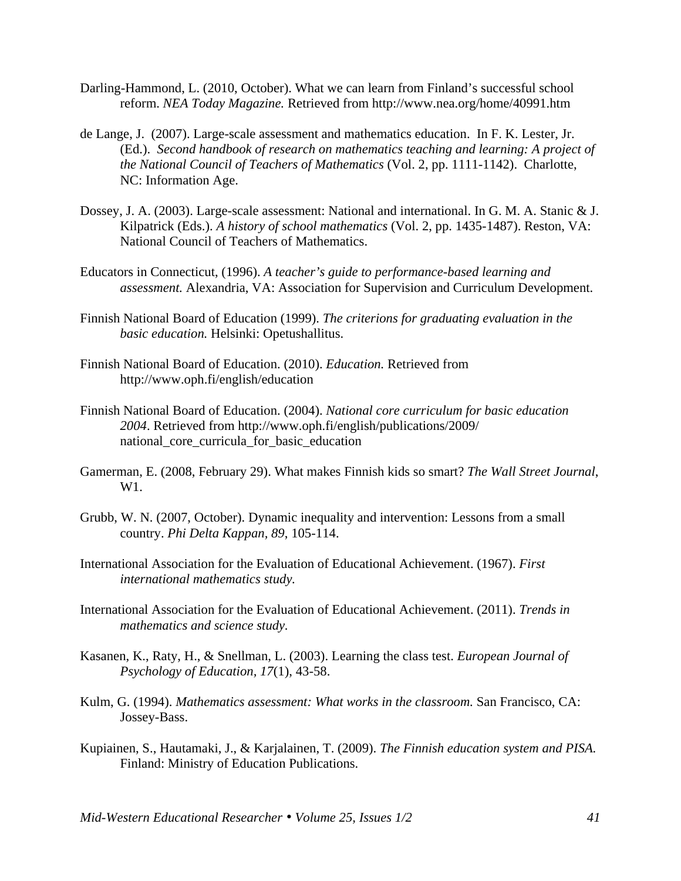- Darling-Hammond, L. (2010, October). What we can learn from Finland's successful school reform. *NEA Today Magazine.* Retrieved from http://www.nea.org/home/40991.htm
- de Lange, J. (2007). Large-scale assessment and mathematics education. In F. K. Lester, Jr. (Ed.). *Second handbook of research on mathematics teaching and learning: A project of the National Council of Teachers of Mathematics* (Vol. 2, pp. 1111-1142). Charlotte, NC: Information Age.
- Dossey, J. A. (2003). Large-scale assessment: National and international. In G. M. A. Stanic & J. Kilpatrick (Eds.). *A history of school mathematics* (Vol. 2, pp. 1435-1487). Reston, VA: National Council of Teachers of Mathematics.
- Educators in Connecticut, (1996). *A teacher's guide to performance-based learning and assessment.* Alexandria, VA: Association for Supervision and Curriculum Development.
- Finnish National Board of Education (1999). *The criterions for graduating evaluation in the basic education.* Helsinki: Opetushallitus.
- Finnish National Board of Education. (2010). *Education.* Retrieved from http://www.oph.fi/english/education
- Finnish National Board of Education. (2004). *National core curriculum for basic education 2004*. Retrieved from http://www.oph.fi/english/publications/2009/ national core curricula for basic education
- Gamerman, E. (2008, February 29). What makes Finnish kids so smart? *The Wall Street Journal*, W1.
- Grubb, W. N. (2007, October). Dynamic inequality and intervention: Lessons from a small country. *Phi Delta Kappan, 89*, 105-114.
- International Association for the Evaluation of Educational Achievement. (1967). *First international mathematics study.*
- International Association for the Evaluation of Educational Achievement. (2011). *Trends in mathematics and science study.*
- Kasanen, K., Raty, H., & Snellman, L. (2003). Learning the class test. *European Journal of Psychology of Education, 17*(1), 43-58.
- Kulm, G. (1994). *Mathematics assessment: What works in the classroom.* San Francisco, CA: Jossey-Bass.
- Kupiainen, S., Hautamaki, J., & Karjalainen, T. (2009). *The Finnish education system and PISA.* Finland: Ministry of Education Publications.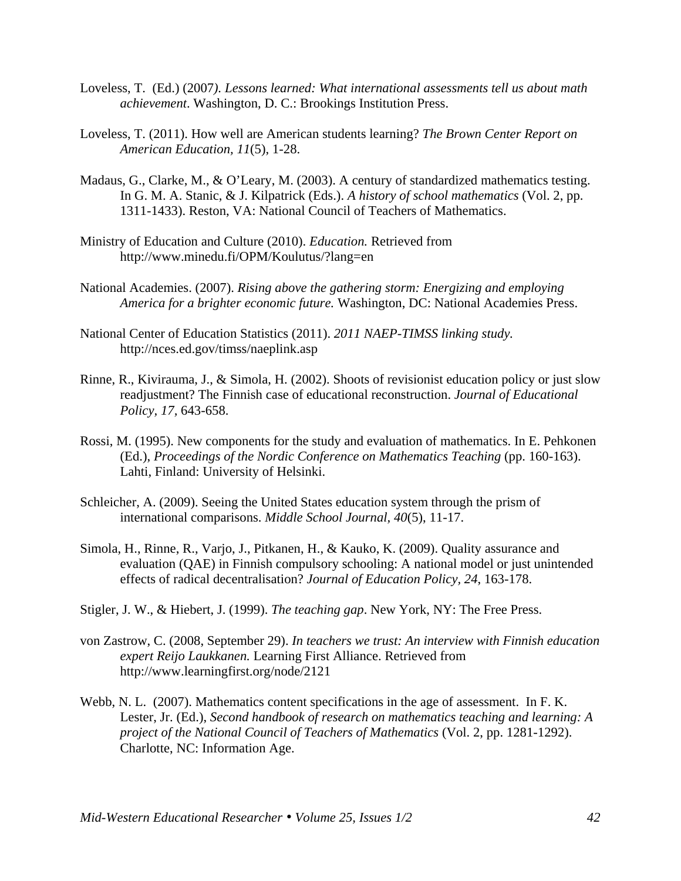- Loveless, T. (Ed.) (2007*). Lessons learned: What international assessments tell us about math achievement*. Washington, D. C.: Brookings Institution Press.
- Loveless, T. (2011). How well are American students learning? *The Brown Center Report on American Education, 11*(5), 1-28.
- Madaus, G., Clarke, M., & O'Leary, M. (2003). A century of standardized mathematics testing. In G. M. A. Stanic, & J. Kilpatrick (Eds.). *A history of school mathematics* (Vol. 2, pp. 1311-1433). Reston, VA: National Council of Teachers of Mathematics.
- Ministry of Education and Culture (2010). *Education.* Retrieved from http://www.minedu.fi/OPM/Koulutus/?lang=en
- National Academies. (2007). *Rising above the gathering storm: Energizing and employing America for a brighter economic future.* Washington, DC: National Academies Press.
- National Center of Education Statistics (2011). *2011 NAEP-TIMSS linking study.*  http://nces.ed.gov/timss/naeplink.asp
- Rinne, R., Kivirauma, J., & Simola, H. (2002). Shoots of revisionist education policy or just slow readjustment? The Finnish case of educational reconstruction. *Journal of Educational Policy, 17,* 643-658.
- Rossi, M. (1995). New components for the study and evaluation of mathematics. In E. Pehkonen (Ed.), *Proceedings of the Nordic Conference on Mathematics Teaching* (pp. 160-163). Lahti, Finland: University of Helsinki.
- Schleicher, A. (2009). Seeing the United States education system through the prism of international comparisons. *Middle School Journal, 40*(5), 11-17.
- Simola, H., Rinne, R., Varjo, J., Pitkanen, H., & Kauko, K. (2009). Quality assurance and evaluation (QAE) in Finnish compulsory schooling: A national model or just unintended effects of radical decentralisation? *Journal of Education Policy, 24*, 163-178.
- Stigler, J. W., & Hiebert, J. (1999). *The teaching gap*. New York, NY: The Free Press.
- von Zastrow, C. (2008, September 29). *In teachers we trust: An interview with Finnish education expert Reijo Laukkanen.* Learning First Alliance. Retrieved from http://www.learningfirst.org/node/2121
- Webb, N. L. (2007). Mathematics content specifications in the age of assessment. In F. K. Lester, Jr. (Ed.), *Second handbook of research on mathematics teaching and learning: A project of the National Council of Teachers of Mathematics* (Vol. 2, pp. 1281-1292). Charlotte, NC: Information Age.